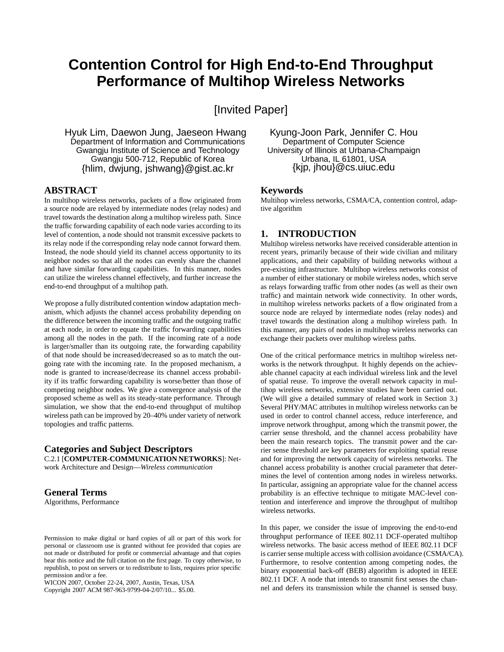# **Contention Control for High End-to-End Throughput Performance of Multihop Wireless Networks**

[Invited Paper]

Hyuk Lim, Daewon Jung, Jaeseon Hwang Department of Information and Communications Gwangju Institute of Science and Technology Gwangju 500-712, Republic of Korea {hlim, dwjung, jshwang}@gist.ac.kr

## **ABSTRACT**

In multihop wireless networks, packets of a flow originated from a source node are relayed by intermediate nodes (relay nodes) and travel towards the destination along a multihop wireless path. Since the traffic forwarding capability of each node varies according to its level of contention, a node should not transmit excessive packets to its relay node if the corresponding relay node cannot forward them. Instead, the node should yield its channel access opportunity to its neighbor nodes so that all the nodes can evenly share the channel and have similar forwarding capabilities. In this manner, nodes can utilize the wireless channel effectively, and further increase the end-to-end throughput of a multihop path.

We propose a fully distributed contention window adaptation mechanism, which adjusts the channel access probability depending on the difference between the incoming traffic and the outgoing traffic at each node, in order to equate the traffic forwarding capabilities among all the nodes in the path. If the incoming rate of a node is larger/smaller than its outgoing rate, the forwarding capability of that node should be increased/decreased so as to match the outgoing rate with the incoming rate. In the proposed mechanism, a node is granted to increase/decrease its channel access probability if its traffic forwarding capability is worse/better than those of competing neighbor nodes. We give a convergence analysis of the proposed scheme as well as its steady-state performance. Through simulation, we show that the end-to-end throughput of multihop wireless path can be improved by 20–40% under variety of network topologies and traffic patterns.

#### **Categories and Subject Descriptors** C.2.1 [**COMPUTER-COMMUNICATION NETWORKS**]: Net-

work Architecture and Design—*Wireless communication*

## **General Terms**

Algorithms, Performance

Copyright 2007 ACM 987-963-9799-04-2/07/10... \$5.00.

Kyung-Joon Park, Jennifer C. Hou Department of Computer Science University of Illinois at Urbana-Champaign Urbana, IL 61801, USA {kjp, jhou}@cs.uiuc.edu

#### **Keywords**

Multihop wireless networks, CSMA/CA, contention control, adaptive algorithm

## **1. INTRODUCTION**

Multihop wireless networks have received considerable attention in recent years, primarily because of their wide civilian and military applications, and their capability of building networks without a pre-existing infrastructure. Multihop wireless networks consist of a number of either stationary or mobile wireless nodes, which serve as relays forwarding traffic from other nodes (as well as their own traffic) and maintain network wide connectivity. In other words, in multihop wireless networks packets of a flow originated from a source node are relayed by intermediate nodes (relay nodes) and travel towards the destination along a multihop wireless path. In this manner, any pairs of nodes in multihop wireless networks can exchange their packets over multihop wireless paths.

One of the critical performance metrics in multihop wireless networks is the network throughput. It highly depends on the achievable channel capacity at each individual wireless link and the level of spatial reuse. To improve the overall network capacity in multihop wireless networks, extensive studies have been carried out. (We will give a detailed summary of related work in Section 3.) Several PHY/MAC attributes in multihop wireless networks can be used in order to control channel access, reduce interference, and improve network throughput, among which the transmit power, the carrier sense threshold, and the channel access probability have been the main research topics. The transmit power and the carrier sense threshold are key parameters for exploiting spatial reuse and for improving the network capacity of wireless networks. The channel access probability is another crucial parameter that determines the level of contention among nodes in wireless networks. In particular, assigning an appropriate value for the channel access probability is an effective technique to mitigate MAC-level contention and interference and improve the throughput of multihop wireless networks.

In this paper, we consider the issue of improving the end-to-end throughput performance of IEEE 802.11 DCF-operated multihop wireless networks. The basic access method of IEEE 802.11 DCF is carrier sense multiple access with collision avoidance (CSMA/CA). Furthermore, to resolve contention among competing nodes, the binary exponential back-off (BEB) algorithm is adopted in IEEE 802.11 DCF. A node that intends to transmit first senses the channel and defers its transmission while the channel is sensed busy.

Permission to make digital or hard copies of all or part of this work for personal or classroom use is granted without fee provided that copies are not made or distributed for profit or commercial advantage and that copies bear this notice and the full citation on the first page. To copy otherwise, to republish, to post on servers or to redistribute to lists, requires prior specific permission and/or a fee.

WICON 2007, October 22-24, 2007, Austin, Texas, USA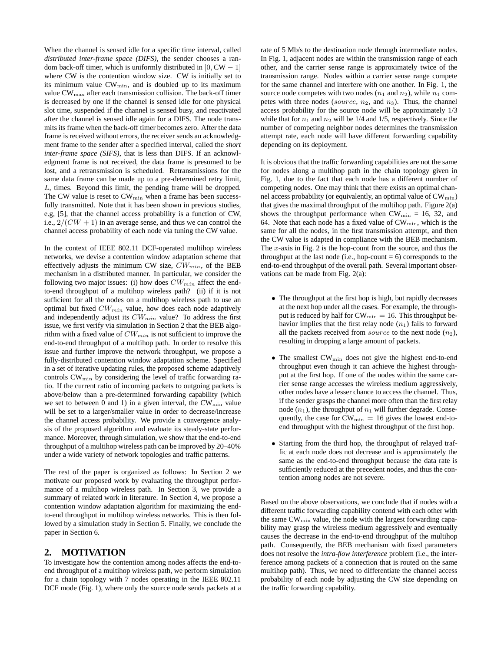When the channel is sensed idle for a specific time interval, called *distributed inter-frame space (DIFS)*, the sender chooses a random back-off timer, which is uniformly distributed in  $[0, CW - 1]$ where CW is the contention window size. CW is initially set to its minimum value  $CW_{\text{min}}$ , and is doubled up to its maximum value  $CW_{\text{max}}$  after each transmission collision. The back-off timer is decreased by one if the channel is sensed idle for one physical slot time, suspended if the channel is sensed busy, and reactivated after the channel is sensed idle again for a DIFS. The node transmits its frame when the back-off timer becomes zero. After the data frame is received without errors, the receiver sends an acknowledgment frame to the sender after a specified interval, called the *short inter-frame space (SIFS)*, that is less than DIFS. If an acknowledgment frame is not received, the data frame is presumed to be lost, and a retransmission is scheduled. Retransmissions for the same data frame can be made up to a pre-determined retry limit, L, times. Beyond this limit, the pending frame will be dropped. The CW value is reset to  $CW_{\text{min}}$  when a frame has been successfully transmitted. Note that it has been shown in previous studies, e.g, [5], that the channel access probability is a function of CW, i.e.,  $2/(CW + 1)$  in an average sense, and thus we can control the channel access probability of each node via tuning the CW value.

In the context of IEEE 802.11 DCF-operated multihop wireless networks, we devise a contention window adaptation scheme that effectively adjusts the minimum CW size,  $CW_{min}$ , of the BEB mechanism in a distributed manner. In particular, we consider the following two major issues: (i) how does  $CW_{min}$  affect the endto-end throughput of a multihop wireless path? (ii) if it is not sufficient for all the nodes on a multihop wireless path to use an optimal but fixed  $CW_{min}$  value, how does each node adaptively and independently adjust its  $CW_{min}$  value? To address the first issue, we first verify via simulation in Section 2 that the BEB algorithm with a fixed value of  $CW_{min}$  is not sufficient to improve the end-to-end throughput of a multihop path. In order to resolve this issue and further improve the network throughput, we propose a fully-distributed contention window adaptation scheme. Specified in a set of iterative updating rules, the proposed scheme adaptively controls  $CW_{\min}$  by considering the level of traffic forwarding ratio. If the current ratio of incoming packets to outgoing packets is above/below than a pre-determined forwarding capability (which we set to between 0 and 1) in a given interval, the  $CW_{\text{min}}$  value will be set to a larger/smaller value in order to decrease/increase the channel access probability. We provide a convergence analysis of the proposed algorithm and evaluate its steady-state performance. Moreover, through simulation, we show that the end-to-end throughput of a multihop wireless path can be improved by 20–40% under a wide variety of network topologies and traffic patterns.

The rest of the paper is organized as follows: In Section 2 we motivate our proposed work by evaluating the throughput performance of a multihop wireless path. In Section 3, we provide a summary of related work in literature. In Section 4, we propose a contention window adaptation algorithm for maximizing the endto-end throughput in multihop wireless networks. This is then followed by a simulation study in Section 5. Finally, we conclude the paper in Section 6.

## **2. MOTIVATION**

To investigate how the contention among nodes affects the end-toend throughput of a multihop wireless path, we perform simulation for a chain topology with 7 nodes operating in the IEEE 802.11 DCF mode (Fig. 1), where only the source node sends packets at a

rate of 5 Mb/s to the destination node through intermediate nodes. In Fig. 1, adjacent nodes are within the transmission range of each other, and the carrier sense range is approximately twice of the transmission range. Nodes within a carrier sense range compete for the same channel and interfere with one another. In Fig. 1, the source node competes with two nodes  $(n_1 \text{ and } n_2)$ , while  $n_1$  competes with three nodes (source,  $n_2$ , and  $n_3$ ). Thus, the channel access probability for the source node will be approximately 1/3 while that for  $n_1$  and  $n_2$  will be 1/4 and 1/5, respectively. Since the number of competing neighbor nodes determines the transmission attempt rate, each node will have different forwarding capability depending on its deployment.

It is obvious that the traffic forwarding capabilities are not the same for nodes along a multihop path in the chain topology given in Fig. 1, due to the fact that each node has a different number of competing nodes. One may think that there exists an optimal channel access probability (or equivalently, an optimal value of  $CW_{\min}$ ) that gives the maximal throughput of the multihop path. Figure 2(a) shows the throughput performance when  $CW_{\text{min}} = 16, 32,$  and 64. Note that each node has a fixed value of  $CW_{\text{min}}$ , which is the same for all the nodes, in the first transmission attempt, and then the CW value is adapted in compliance with the BEB mechanism. The  $x$ -axis in Fig. 2 is the hop-count from the source, and thus the throughput at the last node (i.e., hop-count  $= 6$ ) corresponds to the end-to-end throughput of the overall path. Several important observations can be made from Fig. 2(a):

- The throughput at the first hop is high, but rapidly decreases at the next hop under all the cases. For example, the throughput is reduced by half for  $CW_{\text{min}} = 16$ . This throughput behavior implies that the first relay node  $(n_1)$  fails to forward all the packets received from *source* to the next node  $(n_2)$ , resulting in dropping a large amount of packets.
- The smallest CW<sub>min</sub> does not give the highest end-to-end throughput even though it can achieve the highest throughput at the first hop. If one of the nodes within the same carrier sense range accesses the wireless medium aggressively, other nodes have a lesser chance to access the channel. Thus, if the sender grasps the channel more often than the first relay node  $(n_1)$ , the throughput of  $n_1$  will further degrade. Consequently, the case for  $CW_{\text{min}} = 16$  gives the lowest end-toend throughput with the highest throughput of the first hop.
- Starting from the third hop, the throughput of relayed traffic at each node does not decrease and is approximately the same as the end-to-end throughput because the data rate is sufficiently reduced at the precedent nodes, and thus the contention among nodes are not severe.

Based on the above observations, we conclude that if nodes with a different traffic forwarding capability contend with each other with the same  $CW_{\text{min}}$  value, the node with the largest forwarding capability may grasp the wireless medium aggressively and eventually causes the decrease in the end-to-end throughput of the multihop path. Consequently, the BEB mechanism with fixed parameters does not resolve the *intra-flow interference* problem (i.e., the interference among packets of a connection that is routed on the same multihop path). Thus, we need to differentiate the channel access probability of each node by adjusting the CW size depending on the traffic forwarding capability.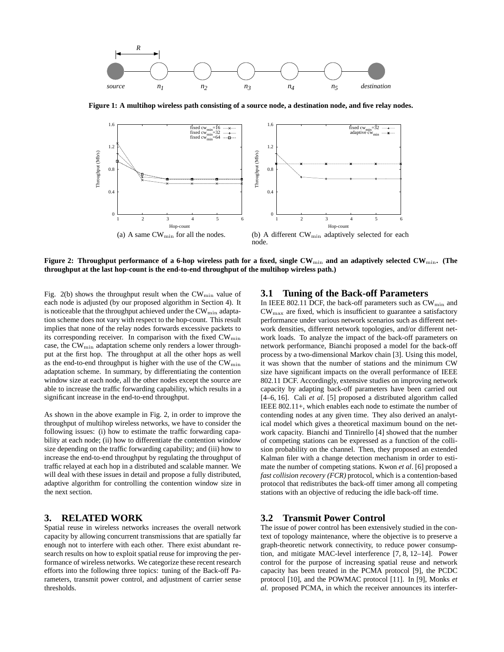

**Figure 1: A multihop wireless path consisting of a source node, a destination node, and five relay nodes.**



**Figure 2: Throughput performance of a 6-hop wireless path for a fixed, single CW**min **and an adaptively selected CW**min**. (The throughput at the last hop-count is the end-to-end throughput of the multihop wireless path.)**

Fig. 2(b) shows the throughput result when the  $CW_{\text{min}}$  value of each node is adjusted (by our proposed algorithm in Section 4). It is noticeable that the throughput achieved under the  $CW_{\min}$  adaptation scheme does not vary with respect to the hop-count. This result implies that none of the relay nodes forwards excessive packets to its corresponding receiver. In comparison with the fixed  $CW_{\min}$ case, the  $CW_{\text{min}}$  adaptation scheme only renders a lower throughput at the first hop. The throughput at all the other hops as well as the end-to-end throughput is higher with the use of the CW<sub>min</sub> adaptation scheme. In summary, by differentiating the contention window size at each node, all the other nodes except the source are able to increase the traffic forwarding capability, which results in a significant increase in the end-to-end throughput.

As shown in the above example in Fig. 2, in order to improve the throughput of multihop wireless networks, we have to consider the following issues: (i) how to estimate the traffic forwarding capability at each node; (ii) how to differentiate the contention window size depending on the traffic forwarding capability; and (iii) how to increase the end-to-end throughput by regulating the throughput of traffic relayed at each hop in a distributed and scalable manner. We will deal with these issues in detail and propose a fully distributed, adaptive algorithm for controlling the contention window size in the next section.

# **3. RELATED WORK**

Spatial reuse in wireless networks increases the overall network capacity by allowing concurrent transmissions that are spatially far enough not to interfere with each other. There exist abundant research results on how to exploit spatial reuse for improving the performance of wireless networks. We categorize these recent research efforts into the following three topics: tuning of the Back-off Parameters, transmit power control, and adjustment of carrier sense thresholds.

## **3.1 Tuning of the Back-off Parameters**

In IEEE 802.11 DCF, the back-off parameters such as  $CW_{\text{min}}$  and CWmax are fixed, which is insufficient to guarantee a satisfactory performance under various network scenarios such as different network densities, different network topologies, and/or different network loads. To analyze the impact of the back-off parameters on network performance, Bianchi proposed a model for the back-off process by a two-dimensional Markov chain [3]. Using this model, it was shown that the number of stations and the minimum CW size have significant impacts on the overall performance of IEEE 802.11 DCF. Accordingly, extensive studies on improving network capacity by adapting back-off parameters have been carried out [4–6, 16]. Cali *et al*. [5] proposed a distributed algorithm called IEEE 802.11+, which enables each node to estimate the number of contending nodes at any given time. They also derived an analytical model which gives a theoretical maximum bound on the network capacity. Bianchi and Tinnirello [4] showed that the number of competing stations can be expressed as a function of the collision probability on the channel. Then, they proposed an extended Kalman filer with a change detection mechanism in order to estimate the number of competing stations. Kwon *et al*. [6] proposed a *fast collision recovery (FCR)* protocol, which is a contention-based protocol that redistributes the back-off timer among all competing stations with an objective of reducing the idle back-off time.

## **3.2 Transmit Power Control**

The issue of power control has been extensively studied in the context of topology maintenance, where the objective is to preserve a graph-theoretic network connectivity, to reduce power consumption, and mitigate MAC-level interference [7, 8, 12–14]. Power control for the purpose of increasing spatial reuse and network capacity has been treated in the PCMA protocol [9], the PCDC protocol [10], and the POWMAC protocol [11]. In [9], Monks *et al.* proposed PCMA, in which the receiver announces its interfer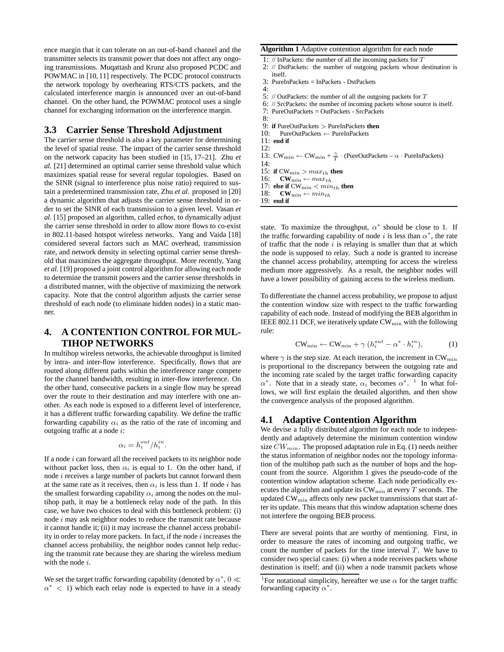ence margin that it can tolerate on an out-of-band channel and the transmitter selects its transmit power that does not affect any ongoing transmissions. Muqattash and Krunz also proposed PCDC and POWMAC in [10, 11] respectively. The PCDC protocol constructs the network topology by overhearing RTS/CTS packets, and the calculated interference margin is announced over an out-of-band channel. On the other hand, the POWMAC protocol uses a single channel for exchanging information on the interference margin.

## **3.3 Carrier Sense Threshold Adjustment**

The carrier sense threshold is also a key parameter for determining the level of spatial reuse. The impact of the carrier sense threshold on the network capacity has been studied in [15, 17–21]. Zhu *et al.* [21] determined an optimal carrier sense threshold value which maximizes spatial reuse for several regular topologies. Based on the SINR (signal to interference plus noise ratio) required to sustain a predetermined transmission rate, Zhu *et al.* proposed in [20] a dynamic algorithm that adjusts the carrier sense threshold in order to set the SINR of each transmission to a given level. Vasan *et al.* [15] proposed an algorithm, called *echos*, to dynamically adjust the carrier sense threshold in order to allow more flows to co-exist in 802.11-based hotspot wireless networks. Yang and Vaida [18] considered several factors such as MAC overhead, transmission rate, and network density in selecting optimal carrier sense threshold that maximizes the aggregate throughput. More recently, Yang *et al.* [19] proposed a joint control algorithm for allowing each node to determine the transmit powers and the carrier sense thresholds in a distributed manner, with the objective of maximizing the network capacity. Note that the control algorithm adjusts the carrier sense threshold of each node (to eliminate hidden nodes) in a static manner.

# **4. A CONTENTION CONTROL FOR MUL-TIHOP NETWORKS**

In multihop wireless networks, the achievable throughput is limited by intra- and inter-flow interference. Specifically, flows that are routed along different paths within the interference range compete for the channel bandwidth, resulting in inter-flow interference. On the other hand, consecutive packets in a single flow may be spread over the route to their destination and may interfere with one another. As each node is exposed to a different level of interference, it has a different traffic forwarding capability. We define the traffic forwarding capability  $\alpha_i$  as the ratio of the rate of incoming and outgoing traffic at a node i:

$$
\alpha_i = h_i^{out} / h_i^{in}.
$$

If a node  $i$  can forward all the received packets to its neighbor node without packet loss, then  $\alpha_i$  is equal to 1. On the other hand, if node i receives a large number of packets but cannot forward them at the same rate as it receives, then  $\alpha_i$  is less than 1. If node i has the smallest forwarding capability  $\alpha_i$  among the nodes on the multihop path, it may be a bottleneck relay node of the path. In this case, we have two choices to deal with this bottleneck problem: (i) node i may ask neighbor nodes to reduce the transmit rate because it cannot handle it; (ii) it may increase the channel access probability in order to relay more packets. In fact, if the node  $i$  increases the channel access probability, the neighbor nodes cannot help reducing the transmit rate because they are sharing the wireless medium with the node *i*.

We set the target traffic forwarding capability (denoted by  $\alpha^*$ , 0  $\ll$  $\alpha^*$  < 1) which each relay node is expected to have in a steady **Algorithm 1** Adaptive contention algorithm for each node

- 1: // InPackets: the number of all the incoming packets for T
- 2: // DstPackets: the number of outgoing packets whose destination is itself.
- 3: PureInPackets = InPackets DstPackets 4:
	-
- 5: // OutPackets: the number of all the outgoing packets for  $T$
- 6: // SrcPackets: the number of incoming packets whose source is itself.
- 7: PureOutPackets = OutPackets SrcPackets
- 8:
- 9: **if** PureOutPackets > PureInPackets **then**<br>10: PureOutPackets ← PureInPackets 10: PureOutPackets ← PureInPackets
- 11: **end if**
- 12:

13:  $CW_{\text{min}} \leftarrow CW_{\text{min}} + \frac{\gamma}{T} \cdot (PureOutPackets - \alpha \cdot PureInPackets)$ 

- $14$
- 15: **if** CW<sub>min</sub> >  $max_{th}$  **then**<br>16: **CW**<sub>min</sub>  $\leftarrow max_{th}$  $\text{CW}_{\min} \leftarrow max_{th}$
- 
- 17: **else if**  $CW_{\min} < min_{th}$  **then**<br>18:  $CW_{\min} \leftarrow min_{th}$  $CW_{\min} \leftarrow min_{th}$
- 19: **end if**

state. To maximize the throughput,  $\alpha^*$  should be close to 1. If the traffic forwarding capability of node i is less than  $\alpha^*$ , the rate of traffic that the node  $i$  is relaying is smaller than that at which the node is supposed to relay. Such a node is granted to increase the channel access probability, attempting for access the wireless medium more aggressively. As a result, the neighbor nodes will have a lower possibility of gaining access to the wireless medium.

To differentiate the channel access probability, we propose to adjust the contention window size with respect to the traffic forwarding capability of each node. Instead of modifying the BEB algorithm in IEEE 802.11 DCF, we iteratively update  $CW_{\text{min}}$  with the following rule:

$$
CW_{\min} \leftarrow CW_{\min} + \gamma \left( h_i^{out} - \alpha^* \cdot h_i^{in} \right), \tag{1}
$$

where  $\gamma$  is the step size. At each iteration, the increment in CW<sub>min</sub> is proportional to the discrepancy between the outgoing rate and the incoming rate scaled by the target traffic forwarding capacity  $\alpha^*$ . Note that in a steady state,  $\alpha_i$  becomes  $\alpha^*$ . <sup>1</sup> In what follows, we will first explain the detailed algorithm, and then show the convergence analysis of the proposed algorithm.

#### **4.1 Adaptive Contention Algorithm**

We devise a fully distributed algorithm for each node to independently and adaptively determine the minimum contention window size  $CW_{min}$ . The proposed adaptation rule in Eq. (1) needs neither the status information of neighbor nodes nor the topology information of the multihop path such as the number of hops and the hopcount from the source. Algorithm 1 gives the pseudo-code of the contention window adaptation scheme. Each node periodically executes the algorithm and update its  $CW_{\text{min}}$  at every  $T$  seconds. The updated CWmin affects only new packet transmissions that start after its update. This means that this window adaptation scheme does not interfere the ongoing BEB process.

There are several points that are worthy of mentioning. First, in order to measure the rates of incoming and outgoing traffic, we count the number of packets for the time interval  $T$ . We have to consider two special cases: (i) when a node receives packets whose destination is itself; and (ii) when a node transmit packets whose

<sup>&</sup>lt;sup>1</sup>For notational simplicity, hereafter we use  $\alpha$  for the target traffic forwarding capacity  $\alpha^*$ .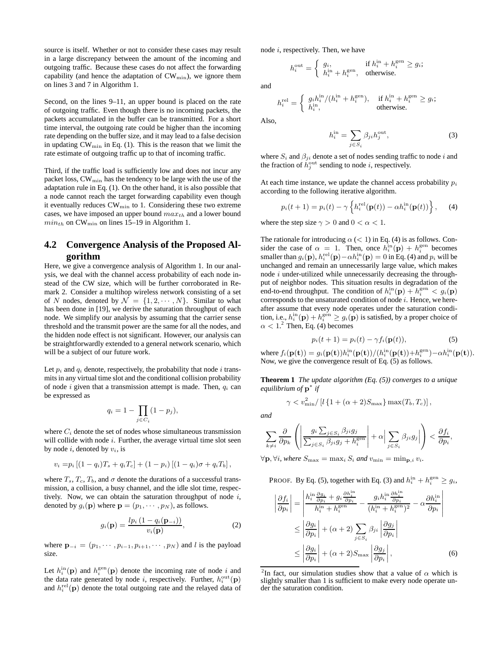source is itself. Whether or not to consider these cases may result in a large discrepancy between the amount of the incoming and outgoing traffic. Because these cases do not affect the forwarding capability (and hence the adaptation of  $CW_{\min}$ ), we ignore them on lines 3 and 7 in Algorithm 1.

Second, on the lines 9–11, an upper bound is placed on the rate of outgoing traffic. Even though there is no incoming packets, the packets accumulated in the buffer can be transmitted. For a short time interval, the outgoing rate could be higher than the incoming rate depending on the buffer size, and it may lead to a false decision in updating CWmin in Eq. (1). This is the reason that we limit the rate estimate of outgoing traffic up to that of incoming traffic.

Third, if the traffic load is sufficiently low and does not incur any packet loss, CW<sub>min</sub> has the tendency to be large with the use of the adaptation rule in Eq. (1). On the other hand, it is also possible that a node cannot reach the target forwarding capability even though it eventually reduces  $CW_{\min}$  to 1. Considering these two extreme cases, we have imposed an upper bound  $max_{th}$  and a lower bound  $min_{th}$  on CW<sub>min</sub> on lines 15–19 in Algorithm 1.

# **4.2 Convergence Analysis of the Proposed Algorithm**

Here, we give a convergence analysis of Algorithm 1. In our analysis, we deal with the channel access probability of each node instead of the CW size, which will be further corroborated in Remark 2. Consider a multihop wireless network consisting of a set of N nodes, denoted by  $\mathcal{N} = \{1, 2, \cdots, N\}$ . Similar to what has been done in [19], we derive the saturation throughput of each node. We simplify our analysis by assuming that the carrier sense threshold and the transmit power are the same for all the nodes, and the hidden node effect is not significant. However, our analysis can be straightforwardly extended to a general network scenario, which will be a subject of our future work.

Let  $p_i$  and  $q_i$  denote, respectively, the probability that node i transmits in any virtual time slot and the conditional collision probability of node i given that a transmission attempt is made. Then,  $q_i$  can be expressed as

$$
q_i = 1 - \prod_{j \in C_i} (1 - p_j),
$$

where  $C_i$  denote the set of nodes whose simultaneous transmission will collide with node  $i$ . Further, the average virtual time slot seen by node  $i$ , denoted by  $v_i$ , is

$$
v_i = p_i [(1 - q_i)T_s + q_i T_c] + (1 - p_i) [(1 - q_i)\sigma + q_i T_b],
$$

where  $T_s$ ,  $T_c$ ,  $T_b$ , and  $\sigma$  denote the durations of a successful transmission, a collision, a busy channel, and the idle slot time, respectively. Now, we can obtain the saturation throughput of node  $i$ , denoted by  $q_i(\mathbf{p})$  where  $\mathbf{p} = (p_1, \dots, p_N)$ , as follows.

$$
g_i(\mathbf{p}) = \frac{lp_i\left(1 - q_i(\mathbf{p}_{-i})\right)}{v_i(\mathbf{p})},\tag{2}
$$

where  $\mathbf{p}_{-i} = (p_1, \cdots, p_{i-1}, p_{i+1}, \cdots, p_N)$  and l is the payload size.

Let  $h_i^{\text{in}}(\textbf{p})$  and  $h_i^{\text{gen}}(\textbf{p})$  denote the incoming rate of node i and the data rate generated by node *i*, respectively. Further,  $h_i^{\text{out}}(\mathbf{p})$ and  $h_i^{\text{rel}}(\mathbf{p})$  denote the total outgoing rate and the relayed data of node i, respectively. Then, we have

 $\epsilon$ 

$$
h_i^{\text{out}} = \begin{cases} g_i, & \text{if } h_i^{\text{in}} + h_i^{\text{gen}} \ge g_i; \\ h_i^{\text{in}} + h_i^{\text{gen}}, & \text{otherwise.} \end{cases}
$$

and

$$
h_i^{\text{rel}} = \begin{cases} g_i h_i^{\text{in}} / (h_i^{\text{in}} + h_i^{\text{gen}}), & \text{if } h_i^{\text{in}} + h_i^{\text{gen}} \ge g_i; \\ h_i^{\text{in}}, & \text{otherwise.} \end{cases}
$$

Also,

$$
h_i^{\text{in}} = \sum_{j \in S_i} \beta_{ji} h_j^{\text{out}},\tag{3}
$$

where  $S_i$  and  $\beta_{ji}$  denote a set of nodes sending traffic to node i and the fraction of  $\dot{h}^{\text{out}}_j$  sending to node *i*, respectively.

At each time instance, we update the channel access probability  $p_i$ according to the following iterative algorithm.

$$
p_i(t+1) = p_i(t) - \gamma \left\{ h_i^{\text{rel}}(\mathbf{p}(t)) - \alpha h_i^{\text{in}}(\mathbf{p}(t)) \right\},\qquad(4)
$$

where the step size  $\gamma > 0$  and  $0 < \alpha < 1$ .

The rationale for introducing  $\alpha$  (< 1) in Eq. (4) is as follows. Consider the case of  $\alpha = 1$ . Then, once  $h_i^{\text{in}}(\mathbf{p}) + h_i^{\text{gen}}$  becomes smaller than  $g_i(\mathbf{p}), h_i^{\text{rel}}(\mathbf{p}) - \alpha h_i^{\text{in}}(\mathbf{p}) = 0$  in Eq. (4) and  $p_i$  will be unchanged and remain an unnecessarily large value, which makes node  $i$  under-utilized while unnecessarily decreasing the throughput of neighbor nodes. This situation results in degradation of the end-to-end throughput. The condition of  $h_i^{\text{in}}(\mathbf{p}) + h_i^{\text{gen}} < g_i(\mathbf{p})$ corresponds to the unsaturated condition of node  $i$ . Hence, we hereafter assume that every node operates under the saturation condition, i.e.,  $h_i^{\text{in}}(\mathbf{p}) + h_i^{\text{gen}} \ge g_i(\mathbf{p})$  is satisfied, by a proper choice of  $\alpha < 1$ .<sup>2</sup> Then, Eq. (4) becomes

$$
p_i(t+1) = p_i(t) - \gamma f_i(\mathbf{p}(t)),\tag{5}
$$

where  $f_i(\mathbf{p}(\mathbf{t})) = g_i(\mathbf{p}(\mathbf{t})) h_i^{\text{in}}(\mathbf{p}(\mathbf{t})) / (h_i^{\text{in}}(\mathbf{p}(\mathbf{t})) + h_i^{\text{gen}}) - \alpha h_i^{\text{in}}(\mathbf{p}(\mathbf{t})).$ Now, we give the convergence result of Eq. (5) as follows.

**Theorem 1** *The update algorithm (Eq. (5)) converges to a unique equilibrium of* p ∗ *if*

$$
\gamma < v_{\min}^2 / \left[l \left\{1 + (\alpha + 2)S_{\max}\right\} \max(T_b, T_c)\right],
$$

*and*

$$
\sum_{k\neq i} \frac{\partial}{\partial p_k} \left( \left| \frac{g_i \sum_{j \in S_i} \beta_{ji} g_j}{\sum_{j \in S_i} \beta_{ji} g_j + h_i^{\text{gen}}} \right| + \alpha \left| \sum_{j \in S_i} \beta_{ji} g_j \right| \right) < \frac{\partial f_i}{\partial p_i},
$$

 $\forall p, \forall i$ *, where*  $S_{\text{max}} = \max_i S_i$  *and*  $v_{\text{min}} = \min_{p, i} v_i$ *.* 

PROOF. By Eq. (5), together with Eq. (3) and  $h_i^{\text{in}} + h_i^{\text{gen}} \ge g_i$ ,

$$
\left| \frac{\partial f_i}{\partial p_i} \right| = \left| \frac{h_i^{\text{in}} \frac{\partial g_i}{\partial p_i} + g_i \frac{\partial h_i^{\text{in}}}{\partial p_i}}{h_i^{\text{in}} + h_i^{\text{gen}}} - \frac{g_i h_i^{\text{in}} \frac{\partial h_i^{\text{in}}}{\partial p_i}}{(h_i^{\text{in}} + h_i^{\text{gen}})^2} - \alpha \frac{\partial h_i^{\text{in}}}{\partial p_i} \right|
$$
  

$$
\leq \left| \frac{\partial g_i}{\partial p_i} \right| + (\alpha + 2) \sum_{j \in S_i} \beta_{ji} \left| \frac{\partial g_j}{\partial p_i} \right|
$$
  

$$
\leq \left| \frac{\partial g_i}{\partial p_i} \right| + (\alpha + 2) S_{\text{max}} \left| \frac{\partial g_j}{\partial p_i} \right|,
$$
 (6)

<sup>&</sup>lt;sup>2</sup>In fact, our simulation studies show that a value of  $\alpha$  which is slightly smaller than 1 is sufficient to make every node operate under the saturation condition.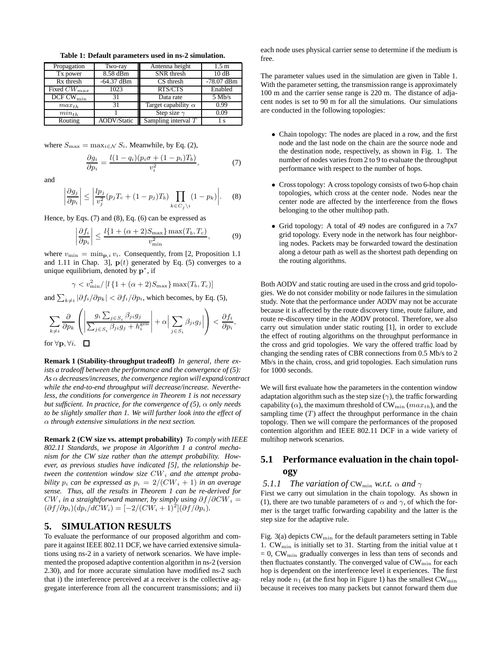| Propagation                        | Two-ray            | Antenna height             | 1.5 <sub>m</sub> |
|------------------------------------|--------------------|----------------------------|------------------|
| Tx power                           | 8.58 dBm           | SNR thresh                 | 10dB             |
| R <sub>x</sub> thresh              | $-64.37$ dBm       | CS thresh                  | $-78.07$ dBm     |
| Fixed $CW_{max}$                   | 1023               | RTS/CTS                    | Enabled          |
| $\overline{DCF}$ CW <sub>min</sub> | 31                 | Data rate                  | $5$ Mb/s         |
| $max_{th}$                         | 31                 | Target capability $\alpha$ | 0.99             |
| $min_{th}$                         |                    | Step size $\gamma$         | 0.09             |
| Routing                            | <b>AODV/Static</b> | Sampling interval $T$      | Ιs               |

**Table 1: Default parameters used in ns-2 simulation.**

where  $S_{\text{max}} = \max_{i \in \mathcal{N}} S_i$ . Meanwhile, by Eq. (2),

$$
\frac{\partial g_i}{\partial p_i} = \frac{l(1 - q_i)(p_i \sigma + (1 - p_i)T_b)}{v_i^2},\tag{7}
$$

and

$$
\left|\frac{\partial g_j}{\partial p_i}\right| \le \left|\frac{lp_j}{v_j^2}(p_j T_c + (1-p_j)T_b)\prod_{k \in C_j \setminus i} (1-p_k)\right|.\tag{8}
$$

Hence, by Eqs. (7) and (8), Eq. (6) can be expressed as

$$
\left|\frac{\partial f_i}{\partial p_i}\right| \le \frac{l\{1+(\alpha+2)S_{\text{max}}\}\max(T_b, T_c)}{v_{\text{min}}^2},\tag{9}
$$

where  $v_{\min} = \min_{\mathbf{p},i} v_i$ . Consequently, from [2, Proposition 1.1 and 1.11 in Chap. 3],  $p(t)$  generated by Eq. (5) converges to a unique equilibrium, denoted by  $p^*$ , if

$$
\gamma < v_{\min}^2 / [l \left\{ 1 + (\alpha + 2) S_{\max} \right\} \max(T_b, T_c)]
$$

and  $\sum_{k\neq i} |\partial f_i/\partial p_k| < \partial f_i/\partial p_i$ , which becomes, by Eq. (5),

$$
\sum_{k \neq i} \frac{\partial}{\partial p_k} \left( \left| \frac{g_i \sum_{j \in S_i} \beta_{ji} g_j}{\sum_{j \in S_i} \beta_{ji} g_j + h_i^{\text{gen}}} \right| + \alpha \left| \sum_{j \in S_i} \beta_{ji} g_j \right| \right) < \frac{\partial f_i}{\partial p_i},
$$

for  $\forall \mathbf{p}, \forall i$ .  $\Box$ 

**Remark 1 (Stability-throughput tradeoff)** *In general, there exists a tradeoff between the performance and the convergence of (5): As* α *decreases/increases, the convergence region will expand/contract while the end-to-end throughput will decrease/increase. Nevertheless, the conditions for convergence in Theorem 1 is not necessary but sufficient. In practice, for the convergence of (5),*  $\alpha$  *only needs to be slightly smaller than 1. We will further look into the effect of* α *through extensive simulations in the next section.*

**Remark 2 (CW size vs. attempt probability)** *To comply with IEEE 802.11 Standards, we propose in Algorithm 1 a control mechanism for the CW size rather than the attempt probability. However, as previous studies have indicated [5], the relationship between the contention window size*  $CW_i$  and the attempt proba*bility*  $p_i$  *can be expressed as*  $p_i = 2/(CW_i + 1)$  *in an average sense. Thus, all the results in Theorem 1 can be re-derived for*  $CW_i$  in a straightforward manner, by simply using  $\partial f/\partial CW_i =$  $(\partial f/\partial p_i)(dp_i/dCW_i) = [-2/(CW_i+1)^2](\partial f/\partial p_i).$ 

## **5. SIMULATION RESULTS**

To evaluate the performance of our proposed algorithm and compare it against IEEE 802.11 DCF, we have carried extensive simulations using ns-2 in a variety of network scenarios. We have implemented the proposed adaptive contention algorithm in ns-2 (version 2.30), and for more accurate simulation have modified ns-2 such that i) the interference perceived at a receiver is the collective aggregate interference from all the concurrent transmissions; and ii) each node uses physical carrier sense to determine if the medium is free.

The parameter values used in the simulation are given in Table 1. With the parameter setting, the transmission range is approximately 100 m and the carrier sense range is 220 m. The distance of adjacent nodes is set to 90 m for all the simulations. Our simulations are conducted in the following topologies:

- Chain topology: The nodes are placed in a row, and the first node and the last node on the chain are the source node and the destination node, respectively, as shown in Fig. 1. The number of nodes varies from 2 to 9 to evaluate the throughput performance with respect to the number of hops.
- Cross topology: A cross topology consists of two 6-hop chain topologies, which cross at the center node. Nodes near the center node are affected by the interference from the flows belonging to the other multihop path.
- Grid topology: A total of 49 nodes are configured in a 7x7 grid topology. Every node in the network has four neighboring nodes. Packets may be forwarded toward the destination along a detour path as well as the shortest path depending on the routing algorithms.

Both AODV and static routing are used in the cross and grid topologies. We do not consider mobility or node failures in the simulation study. Note that the performance under AODV may not be accurate because it is affected by the route discovery time, route failure, and route re-discovery time in the AODV protocol. Therefore, we also carry out simulation under static routing [1], in order to exclude the effect of routing algorithms on the throughput performance in the cross and grid topologies. We vary the offered traffic load by changing the sending rates of CBR connections from 0.5 Mb/s to 2 Mb/s in the chain, cross, and grid topologies. Each simulation runs for 1000 seconds.

We will first evaluate how the parameters in the contention window adaptation algorithm such as the step size  $(\gamma)$ , the traffic forwarding capability ( $\alpha$ ), the maximum threshold of CW<sub>min</sub> ( $max_{th}$ ), and the sampling time  $(T)$  affect the throughput performance in the chain topology. Then we will compare the performances of the proposed contention algorithm and IEEE 802.11 DCF in a wide variety of multihop network scenarios.

# **5.1 Performance evaluation in the chain topology**

#### *5.1.1 The variation of* CW<sub>min</sub> *w.r.t.*  $\alpha$  *and*  $\gamma$

First we carry out simulation in the chain topology. As shown in (1), there are two tunable parameters of  $\alpha$  and  $\gamma$ , of which the former is the target traffic forwarding capability and the latter is the step size for the adaptive rule.

Fig. 3(a) depicts  $CW_{\text{min}}$  for the default parameters setting in Table 1.  $CW_{\text{min}}$  is initially set to 31. Starting from the initial value at t  $= 0$ , CW<sub>min</sub> gradually converges in less than tens of seconds and then fluctuates constantly. The converged value of  $CW_{\text{min}}$  for each hop is dependent on the interference level it experiences. The first relay node  $n_1$  (at the first hop in Figure 1) has the smallest  $CW_{\text{min}}$ because it receives too many packets but cannot forward them due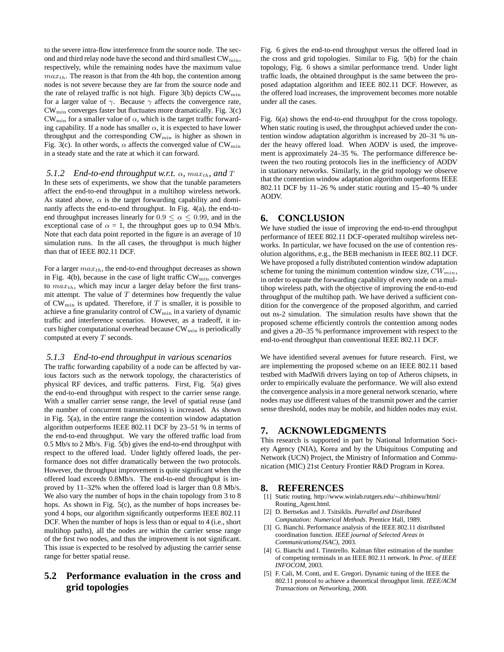to the severe intra-flow interference from the source node. The second and third relay node have the second and third smallest  $CW_{\min}$ , respectively, while the remaining nodes have the maximum value  $max_{th}$ . The reason is that from the 4th hop, the contention among nodes is not severe because they are far from the source node and the rate of relayed traffic is not high. Figure 3(b) depicts  $CW_{min}$ for a larger value of  $\gamma$ . Because  $\gamma$  affects the convergence rate,  $CW_{\text{min}}$  converges faster but fluctuates more dramatically. Fig. 3(c)  $CW_{\text{min}}$  for a smaller value of  $\alpha$ , which is the target traffic forwarding capability. If a node has smaller  $\alpha$ , it is expected to have lower throughput and the corresponding CWmin is higher as shown in Fig. 3(c). In other words,  $\alpha$  affects the converged value of CW<sub>min</sub> in a steady state and the rate at which it can forward.

#### *5.1.2 End-to-end throughput w.r.t.*  $\alpha$ ,  $max_{th}$ , and T

In these sets of experiments, we show that the tunable parameters affect the end-to-end throughput in a multihop wireless network. As stated above,  $\alpha$  is the target forwarding capability and dominantly affects the end-to-end throughput. In Fig. 4(a), the end-toend throughput increases linearly for  $0.9 \le \alpha \le 0.99$ , and in the exceptional case of  $\alpha = 1$ , the throughput goes up to 0.94 Mb/s. Note that each data point reported in the figure is an average of 10 simulation runs. In the all cases, the throughput is much higher than that of IEEE 802.11 DCF.

For a larger  $max_{th}$ , the end-to-end throughput decreases as shown in Fig. 4(b), because in the case of light traffic  $CW_{\text{min}}$  converges to  $max_{th}$ , which may incur a larger delay before the first transmit attempt. The value of  $T$  determines how frequently the value of  $CW_{\min}$  is updated. Therefore, if T is smaller, it is possible to achieve a fine granularity control of CWmin in a variety of dynamic traffic and interference scenarios. However, as a tradeoff, it incurs higher computational overhead because  $CW_{\min}$  is periodically computed at every T seconds.

#### *5.1.3 End-to-end throughput in various scenarios*

The traffic forwarding capability of a node can be affected by various factors such as the network topology, the characteristics of physical RF devices, and traffic patterns. First, Fig. 5(a) gives the end-to-end throughput with respect to the carrier sense range. With a smaller carrier sense range, the level of spatial reuse (and the number of concurrent transmissions) is increased. As shown in Fig. 5(a), in the entire range the contention window adaptation algorithm outperforms IEEE 802.11 DCF by 23–51 % in terms of the end-to-end throughput. We vary the offered traffic load from 0.5 Mb/s to 2 Mb/s. Fig. 5(b) gives the end-to-end throughput with respect to the offered load. Under lightly offered loads, the performance does not differ dramatically between the two protocols. However, the throughput improvement is quite significant when the offered load exceeds 0.8Mb/s. The end-to-end throughput is improved by 11–32% when the offered load is larger than 0.8 Mb/s. We also vary the number of hops in the chain topology from 3 to 8 hops. As shown in Fig. 5(c), as the number of hops increases beyond 4 hops, our algorithm significantly outperforms IEEE 802.11 DCF. When the number of hops is less than or equal to 4 (i.e., short multihop paths), all the nodes are within the carrier sense range of the first two nodes, and thus the improvement is not significant. This issue is expected to be resolved by adjusting the carrier sense range for better spatial reuse.

# **5.2 Performance evaluation in the cross and grid topologies**

Fig. 6 gives the end-to-end throughput versus the offered load in the cross and grid topologies. Similar to Fig. 5(b) for the chain topology, Fig. 6 shows a similar performance trend. Under light traffic loads, the obtained throughput is the same between the proposed adaptation algorithm and IEEE 802.11 DCF. However, as the offered load increases, the improvement becomes more notable under all the cases.

Fig. 6(a) shows the end-to-end throughput for the cross topology. When static routing is used, the throughput achieved under the contention window adaptation algorithm is increased by 20–31 % under the heavy offered load. When AODV is used, the improvement is approximately 24–35 %. The performance difference between the two routing protocols lies in the inefficiency of AODV in stationary networks. Similarly, in the grid topology we observe that the contention window adaptation algorithm outperforms IEEE 802.11 DCF by 11–26 % under static routing and 15–40 % under AODV.

# **6. CONCLUSION**

We have studied the issue of improving the end-to-end throughput performance of IEEE 802.11 DCF-operated multihop wireless networks. In particular, we have focused on the use of contention resolution algorithms, e.g., the BEB mechanism in IEEE 802.11 DCF. We have proposed a fully distributed contention window adaptation scheme for tuning the minimum contention window size,  $CW_{min}$ , in order to equate the forwarding capability of every node on a multihop wireless path, with the objective of improving the end-to-end throughput of the multihop path. We have derived a sufficient condition for the convergence of the proposed algorithm, and carried out ns-2 simulation. The simulation results have shown that the proposed scheme efficiently controls the contention among nodes and gives a 20–35 % performance improvement with respect to the end-to-end throughput than conventional IEEE 802.11 DCF.

We have identified several avenues for future research. First, we are implementing the proposed scheme on an IEEE 802.11 based testbed with MadWifi drivers laying on top of Atheros chipsets, in order to empirically evaluate the performance. We will also extend the convergence analysis in a more general network scenario, where nodes may use different values of the transmit power and the carrier sense threshold, nodes may be mobile, and hidden nodes may exist.

## **7. ACKNOWLEDGMENTS**

This research is supported in part by National Information Society Agency (NIA), Korea and by the Ubiquitous Computing and Network (UCN) Project, the Ministry of Information and Communication (MIC) 21st Century Frontier R&D Program in Korea.

### **8. REFERENCES**

- [1] Static routing. http://www.winlab.rutgers.edu/∼zhibinwu/html/ Routing\_Agent.html.
- [2] D. Bertsekas and J. Tsitsiklis. *Parrallel and Distributed Computation: Numerical Methods*. Prentice Hall, 1989.
- [3] G. Bianchi. Performance analysis of the IEEE 802.11 distributed coordination function. *IEEE journal of Selected Areas in Communications(JSAC)*, 2003.
- [4] G. Bianchi and I. Tinnirello. Kalman filter estimation of the number of competing terminals in an IEEE 802.11 network. In *Proc. of IEEE INFOCOM*, 2003.
- [5] F. Cali, M. Conti, and E. Gregori. Dynamic tuning of the IEEE the 802.11 protocol to achieve a theoretical throughput limit. *IEEE/ACM Transactions on Networking*, 2000.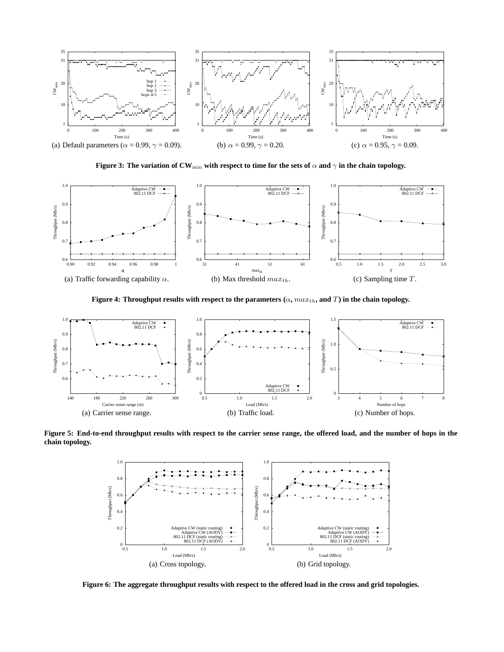

**Figure 3: The variation of CW**min **with respect to time for the sets of** α **and** γ **in the chain topology.**



**Figure 4: Throughput results with respect to the parameters**  $(\alpha, max_{th}, \text{and } T)$  **in the chain topology.** 



**Figure 5: End-to-end throughput results with respect to the carrier sense range, the offered load, and the number of hops in the chain topology.**



**Figure 6: The aggregate throughput results with respect to the offered load in the cross and grid topologies.**